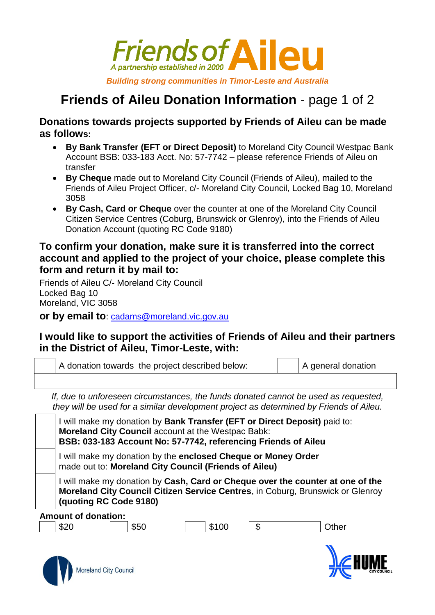

## **Friends of Aileu Donation Information** - page 1 of 2

**Donations towards projects supported by Friends of Aileu can be made as follows:**

- **By Bank Transfer (EFT or Direct Deposit)** to Moreland City Council Westpac Bank Account BSB: 033-183 Acct. No: 57-7742 – please reference Friends of Aileu on transfer
- **By Cheque** made out to Moreland City Council (Friends of Aileu), mailed to the Friends of Aileu Project Officer, c/- Moreland City Council, Locked Bag 10, Moreland 3058
- **By Cash, Card or Cheque** over the counter at one of the Moreland City Council Citizen Service Centres (Coburg, Brunswick or Glenroy), into the Friends of Aileu Donation Account (quoting RC Code 9180)

## **To confirm your donation, make sure it is transferred into the correct account and applied to the project of your choice, please complete this form and return it by mail to:**

Friends of Aileu C/- Moreland City Council Locked Bag 10 Moreland, VIC 3058

**or by email to: [cadams@moreland.vic.gov.au](mailto:cadams@moreland.vic.gov.au)** 

## **I would like to support the activities of Friends of Aileu and their partners in the District of Aileu, Timor-Leste, with:**

A donation towards the project described below: A general donation

*If, due to unforeseen circumstances, the funds donated cannot be used as requested, they will be used for a similar development project as determined by Friends of Aileu.*

I will make my donation by **Bank Transfer (EFT or Direct Deposit)** paid to: **Moreland City Council** account at the Westpac Babk: **BSB: 033-183 Account No: 57-7742, referencing Friends of Aileu**

I will make my donation by the **enclosed Cheque or Money Order** made out to: **Moreland City Council (Friends of Aileu)**

I will make my donation by **Cash, Card or Cheque over the counter at one of the Moreland City Council Citizen Service Centres**, in Coburg, Brunswick or Glenroy **(quoting RC Code 9180)**

**Amount of donation:**

Moreland City Council



\$20 \$50 \$100 \$ Other